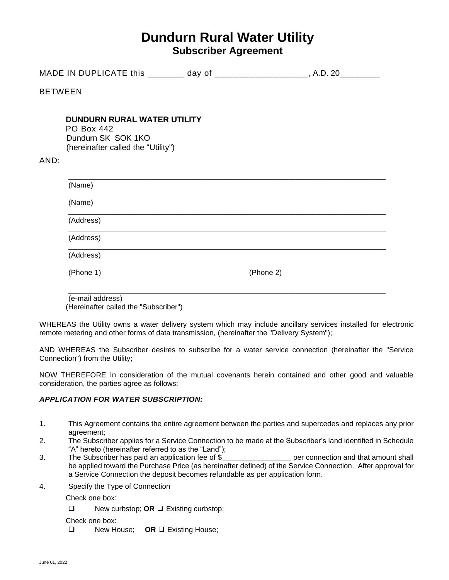# **Dundurn Rural Water Utility Subscriber Agreement**

|                | MADE IN DUPLICATE this _________ day of _____________________, A.D. 20__________                                    |           |  |
|----------------|---------------------------------------------------------------------------------------------------------------------|-----------|--|
| <b>BETWEEN</b> |                                                                                                                     |           |  |
| AND:           | <b>DUNDURN RURAL WATER UTILITY</b><br><b>PO Box 442</b><br>Dundurn SK SOK 1KO<br>(hereinafter called the "Utility") |           |  |
|                | (Name)                                                                                                              |           |  |
|                | (Name)                                                                                                              |           |  |
|                | (Address)                                                                                                           |           |  |
|                | (Address)                                                                                                           |           |  |
|                | (Address)                                                                                                           |           |  |
|                | (Phone 1)                                                                                                           | (Phone 2) |  |

(e-mail address) (Hereinafter called the "Subscriber")

WHEREAS the Utility owns a water delivery system which may include ancillary services installed for electronic remote metering and other forms of data transmission, (hereinafter the "Delivery System");

\_\_\_\_\_\_\_\_\_\_\_\_\_\_\_\_\_\_\_\_\_\_\_\_\_\_\_\_\_\_\_\_\_\_\_\_\_\_\_\_\_\_\_\_\_\_\_\_\_\_\_\_\_\_\_\_\_\_\_\_\_\_\_\_\_\_\_\_\_\_\_\_\_\_\_\_\_\_\_\_\_\_\_\_\_\_\_\_\_\_\_\_\_\_\_

AND WHEREAS the Subscriber desires to subscribe for a water service connection (hereinafter the "Service Connection") from the Utility;

NOW THEREFORE In consideration of the mutual covenants herein contained and other good and valuable consideration, the parties agree as follows:

# *APPLICATION FOR WATER SUBSCRIPTION:*

- 1. This Agreement contains the entire agreement between the parties and supercedes and replaces any prior agreement;
- 2. The Subscriber applies for a Service Connection to be made at the Subscriber's land identified in Schedule "A" hereto (hereinafter referred to as the "Land");
- 3. The Subscriber has paid an application fee of \$ \_\_\_\_\_\_\_\_\_\_\_\_\_\_\_\_\_ per connection and that amount shall be applied toward the Purchase Price (as hereinafter defined) of the Service Connection. After approval for a Service Connection the deposit becomes refundable as per application form.
- 4. Specify the Type of Connection

Check one box:

❑ New curbstop; **OR** ❑ Existing curbstop;

Check one box:

❑ New House; **OR** ❑ Existing House;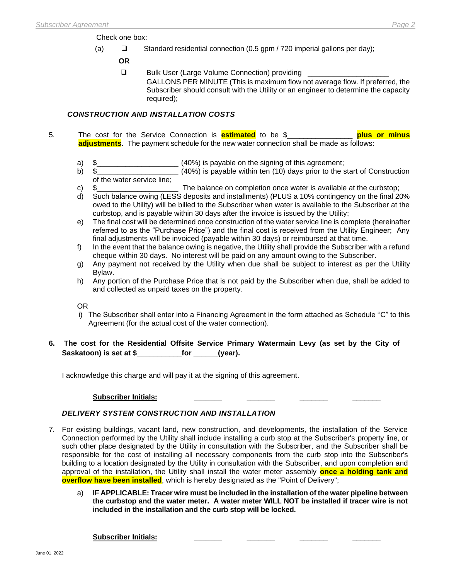Check one box:

(a) ❑ Standard residential connection (0.5 gpm / 720 imperial gallons per day);

 **OR**

❑ Bulk User (Large Volume Connection) providing \_\_\_\_\_\_\_\_\_\_\_\_\_\_\_\_\_\_\_\_

GALLONS PER MINUTE (This is maximum flow not average flow. If preferred, the Subscriber should consult with the Utility or an engineer to determine the capacity required);

# *CONSTRUCTION AND INSTALLATION COSTS*

- 5. The cost for the Service Connection is **estimated** to be \$\_\_\_\_\_\_\_\_\_\_\_\_\_\_\_\_ **plus or minus adjustments**. The payment schedule for the new water connection shall be made as follows:
	- a) \$\_\_\_\_\_\_\_\_\_\_\_\_\_\_\_\_\_\_\_\_ (40%) is payable on the signing of this agreement;
	- b) \$\_\_\_\_\_\_\_\_\_\_\_\_\_\_\_\_\_\_\_\_ (40%) is payable within ten (10) days prior to the start of Construction of the water service line;
	- c) \$ The balance on completion once water is available at the curbstop;
	- d) Such balance owing (LESS deposits and installments) (PLUS a 10% contingency on the final 20% owed to the Utility) will be billed to the Subscriber when water is available to the Subscriber at the curbstop, and is payable within 30 days after the invoice is issued by the Utility;
	- e) The final cost will be determined once construction of the water service line is complete (hereinafter referred to as the "Purchase Price") and the final cost is received from the Utility Engineer; Any final adjustments will be invoiced (payable within 30 days) or reimbursed at that time.
	- f) In the event that the balance owing is negative, the Utility shall provide the Subscriber with a refund cheque within 30 days. No interest will be paid on any amount owing to the Subscriber.
	- g) Any payment not received by the Utility when due shall be subject to interest as per the Utility Bylaw.
	- h) Any portion of the Purchase Price that is not paid by the Subscriber when due, shall be added to and collected as unpaid taxes on the property.

OR

- i) The Subscriber shall enter into a Financing Agreement in the form attached as Schedule "C" to this Agreement (for the actual cost of the water connection).
- **6. The cost for the Residential Offsite Service Primary Watermain Levy (as set by the City of Saskatoon) is set at \$\_\_\_\_\_\_\_\_\_\_\_for \_\_\_\_\_\_(year).**

I acknowledge this charge and will pay it at the signing of this agreement.

# **Subscriber Initials: \_\_\_\_\_\_\_ \_\_\_\_\_\_\_ \_\_\_\_\_\_\_ \_\_\_\_\_\_\_**

# *DELIVERY SYSTEM CONSTRUCTION AND INSTALLATION*

- 7. For existing buildings, vacant land, new construction, and developments, the installation of the Service Connection performed by the Utility shall include installing a curb stop at the Subscriber's property line, or such other place designated by the Utility in consultation with the Subscriber, and the Subscriber shall be responsible for the cost of installing all necessary components from the curb stop into the Subscriber's building to a location designated by the Utility in consultation with the Subscriber, and upon completion and approval of the installation, the Utility shall install the water meter assembly **once a holding tank and overflow have been installed**, which is hereby designated as the "Point of Delivery";
	- a) **IF APPLICABLE: Tracer wire must be included in the installation of the water pipeline between the curbstop and the water meter. A water meter WILL NOT be installed if tracer wire is not included in the installation and the curb stop will be locked.**

**Subscriber Initials: \_\_\_\_\_\_\_ \_\_\_\_\_\_\_ \_\_\_\_\_\_\_ \_\_\_\_\_\_\_**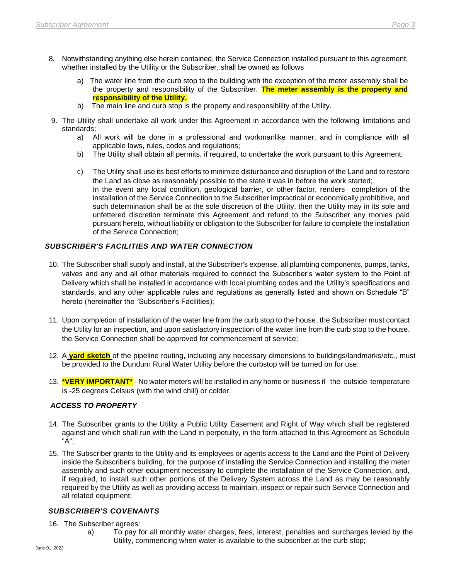- 8. Notwithstanding anything else herein contained, the Service Connection installed pursuant to this agreement, whether installed by the Utility or the Subscriber, shall be owned as follows
	- a) The water line from the curb stop to the building with the exception of the meter assembly shall be the property and responsibility of the Subscriber. **The meter assembly is the property and responsibility of the Utility.**
	- b) The main line and curb stop is the property and responsibility of the Utility.
- 9. The Utility shall undertake all work under this Agreement in accordance with the following limitations and standards;
	- a) All work will be done in a professional and workmanlike manner, and in compliance with all applicable laws, rules, codes and regulations;
	- b) The Utility shall obtain all permits, if required, to undertake the work pursuant to this Agreement;
	- c) The Utility shall use its best efforts to minimize disturbance and disruption of the Land and to restore the Land as close as reasonably possible to the state it was in before the work started; In the event any local condition, geological barrier, or other factor, renders completion of the installation of the Service Connection to the Subscriber impractical or economically prohibitive, and such determination shall be at the sole discretion of the Utility, then the Utility may in its sole and unfettered discretion terminate this Agreement and refund to the Subscriber any monies paid pursuant hereto, without liability or obligation to the Subscriber for failure to complete the installation of the Service Connection;

# *SUBSCRIBER'S FACILITIES AND WATER CONNECTION*

- 10. The Subscriber shall supply and install, at the Subscriber's expense, all plumbing components, pumps, tanks, valves and any and all other materials required to connect the Subscriber's water system to the Point of Delivery which shall be installed in accordance with local plumbing codes and the Utility's specifications and standards, and any other applicable rules and regulations as generally listed and shown on Schedule "B" hereto (hereinafter the "Subscriber's Facilities);
- 11. Upon completion of installation of the water line from the curb stop to the house, the Subscriber must contact the Utility for an inspection, and upon satisfactory inspection of the water line from the curb stop to the house, the Service Connection shall be approved for commencement of service;
- 12. A **yard sketch** of the pipeline routing, including any necessary dimensions to buildings/landmarks/etc., must be provided to the Dundurn Rural Water Utility before the curbstop will be turned on for use.
- 13. **\*VERY IMPORTANT\*** No water meters will be installed in any home or business if the outside temperature is -25 degrees Celsius (with the wind chill) or colder.

# *ACCESS TO PROPERTY*

- 14. The Subscriber grants to the Utility a Public Utility Easement and Right of Way which shall be registered against and which shall run with the Land in perpetuity, in the form attached to this Agreement as Schedule "A";
- 15. The Subscriber grants to the Utility and its employees or agents access to the Land and the Point of Delivery inside the Subscriber's building, for the purpose of installing the Service Connection and installing the meter assembly and such other equipment necessary to complete the installation of the Service Connection, and, if required, to install such other portions of the Delivery System across the Land as may be reasonably required by the Utility as well as providing access to maintain, inspect or repair such Service Connection and all related equipment;

# *SUBSCRIBER'S COVENANTS*

- 16. The Subscriber agrees:
	- a) To pay for all monthly water charges, fees, interest, penalties and surcharges levied by the Utility, commencing when water is available to the subscriber at the curb stop;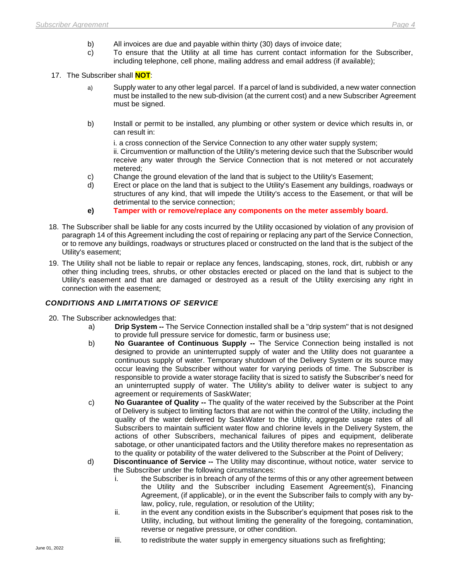- b) All invoices are due and payable within thirty (30) days of invoice date;
- c) To ensure that the Utility at all time has current contact information for the Subscriber, including telephone, cell phone, mailing address and email address (if available);
- 17. The Subscriber shall **NOT**:
	- a) Supply water to any other legal parcel. If a parcel of land is subdivided, a new water connection must be installed to the new sub-division (at the current cost) and a new Subscriber Agreement must be signed.
	- b) Install or permit to be installed, any plumbing or other system or device which results in, or can result in:

i. a cross connection of the Service Connection to any other water supply system;

ii. Circumvention or malfunction of the Utility's metering device such that the Subscriber would receive any water through the Service Connection that is not metered or not accurately metered;

- c) Change the ground elevation of the land that is subject to the Utility's Easement;
- d) Erect or place on the land that is subject to the Utility's Easement any buildings, roadways or structures of any kind, that will impede the Utility's access to the Easement, or that will be detrimental to the service connection;
- **e) Tamper with or remove/replace any components on the meter assembly board.**
- 18. The Subscriber shall be liable for any costs incurred by the Utility occasioned by violation of any provision of paragraph 14 of this Agreement including the cost of repairing or replacing any part of the Service Connection, or to remove any buildings, roadways or structures placed or constructed on the land that is the subject of the Utility's easement;
- 19. The Utility shall not be liable to repair or replace any fences, landscaping, stones, rock, dirt, rubbish or any other thing including trees, shrubs, or other obstacles erected or placed on the land that is subject to the Utility's easement and that are damaged or destroyed as a result of the Utility exercising any right in connection with the easement;

# *CONDITIONS AND LIMITATIONS OF SERVICE*

- 20. The Subscriber acknowledges that:
	- a) **Drip System --** The Service Connection installed shall be a "drip system" that is not designed to provide full pressure service for domestic, farm or business use;
	- b) **No Guarantee of Continuous Supply --** The Service Connection being installed is not designed to provide an uninterrupted supply of water and the Utility does not guarantee a continuous supply of water. Temporary shutdown of the Delivery System or its source may occur leaving the Subscriber without water for varying periods of time. The Subscriber is responsible to provide a water storage facility that is sized to satisfy the Subscriber's need for an uninterrupted supply of water. The Utility's ability to deliver water is subject to any agreement or requirements of SaskWater;
	- c) **No Guarantee of Quality --** The quality of the water received by the Subscriber at the Point of Delivery is subject to limiting factors that are not within the control of the Utility, including the quality of the water delivered by SaskWater to the Utility, aggregate usage rates of all Subscribers to maintain sufficient water flow and chlorine levels in the Delivery System, the actions of other Subscribers, mechanical failures of pipes and equipment, deliberate sabotage, or other unanticipated factors and the Utility therefore makes no representation as to the quality or potability of the water delivered to the Subscriber at the Point of Delivery;
	- d) **Discontinuance of Service --** The Utility may discontinue, without notice, water service to the Subscriber under the following circumstances:
		- i. the Subscriber is in breach of any of the terms of this or any other agreement between the Utility and the Subscriber including Easement Agreement(s), Financing Agreement, (if applicable), or in the event the Subscriber fails to comply with any bylaw, policy, rule, regulation, or resolution of the Utility;
		- ii. in the event any condition exists in the Subscriber's equipment that poses risk to the Utility, including, but without limiting the generality of the foregoing, contamination, reverse or negative pressure, or other condition.
		- iii. to redistribute the water supply in emergency situations such as firefighting;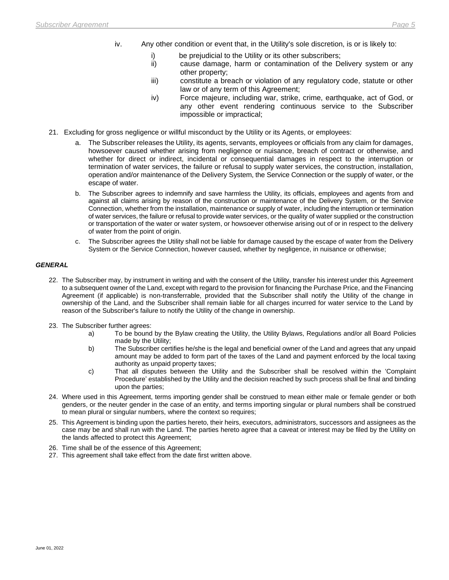- iv. Any other condition or event that, in the Utility's sole discretion, is or is likely to:
	-
	- i) be prejudicial to the Utility or its other subscribers;<br>ii) cause damage, harm or contamination of the D cause damage, harm or contamination of the Delivery system or any other property;
	- iii) constitute a breach or violation of any regulatory code, statute or other law or of any term of this Agreement;
	- iv) Force majeure, including war, strike, crime, earthquake, act of God, or any other event rendering continuous service to the Subscriber impossible or impractical;
- 21. Excluding for gross negligence or willful misconduct by the Utility or its Agents, or employees:
	- a. The Subscriber releases the Utility, its agents, servants, employees or officials from any claim for damages, howsoever caused whether arising from negligence or nuisance, breach of contract or otherwise, and whether for direct or indirect, incidental or consequential damages in respect to the interruption or termination of water services, the failure or refusal to supply water services, the construction, installation, operation and/or maintenance of the Delivery System, the Service Connection or the supply of water, or the escape of water.
	- b. The Subscriber agrees to indemnify and save harmless the Utility, its officials, employees and agents from and against all claims arising by reason of the construction or maintenance of the Delivery System, or the Service Connection, whether from the installation, maintenance or supply of water, including the interruption or termination of water services, the failure or refusal to provide water services, or the quality of water supplied or the construction or transportation of the water or water system, or howsoever otherwise arising out of or in respect to the delivery of water from the point of origin.
	- c. The Subscriber agrees the Utility shall not be liable for damage caused by the escape of water from the Delivery System or the Service Connection, however caused, whether by negligence, in nuisance or otherwise;

#### *GENERAL*

- 22. The Subscriber may, by instrument in writing and with the consent of the Utility, transfer his interest under this Agreement to a subsequent owner of the Land, except with regard to the provision for financing the Purchase Price, and the Financing Agreement (if applicable) is non-transferrable, provided that the Subscriber shall notify the Utility of the change in ownership of the Land, and the Subscriber shall remain liable for all charges incurred for water service to the Land by reason of the Subscriber's failure to notify the Utility of the change in ownership.
- 23. The Subscriber further agrees:
	- a) To be bound by the Bylaw creating the Utility, the Utility Bylaws, Regulations and/or all Board Policies made by the Utility;
	- b) The Subscriber certifies he/she is the legal and beneficial owner of the Land and agrees that any unpaid amount may be added to form part of the taxes of the Land and payment enforced by the local taxing authority as unpaid property taxes;
	- c) That all disputes between the Utility and the Subscriber shall be resolved within the 'Complaint Procedure' established by the Utility and the decision reached by such process shall be final and binding upon the parties;
- 24. Where used in this Agreement, terms importing gender shall be construed to mean either male or female gender or both genders, or the neuter gender in the case of an entity, and terms importing singular or plural numbers shall be construed to mean plural or singular numbers, where the context so requires;
- 25. This Agreement is binding upon the parties hereto, their heirs, executors, administrators, successors and assignees as the case may be and shall run with the Land. The parties hereto agree that a caveat or interest may be filed by the Utility on the lands affected to protect this Agreement;
- 26. Time shall be of the essence of this Agreement;
- 27. This agreement shall take effect from the date first written above.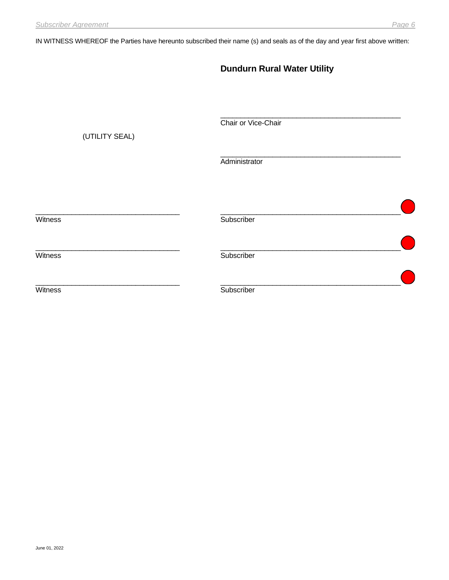IN WITNESS WHEREOF the Parties have hereunto subscribed their name (s) and seals as of the day and year first above written:

|                | <b>Dundurn Rural Water Utility</b> |  |
|----------------|------------------------------------|--|
| (UTILITY SEAL) | Chair or Vice-Chair                |  |
|                | Administrator                      |  |
| Witness        | Subscriber                         |  |
| Witness        | Subscriber                         |  |
| Witness        | Subscriber                         |  |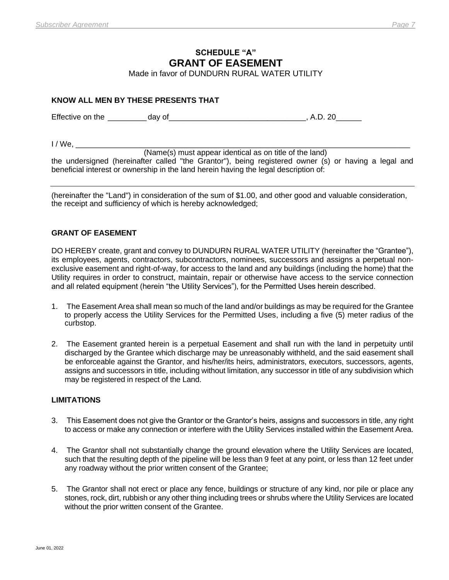# **SCHEDULE "A" GRANT OF EASEMENT**

Made in favor of DUNDURN RURAL WATER UTILITY

# **KNOW ALL MEN BY THESE PRESENTS THAT**

Effective on the day of the day of the state of the state of the state of the state of the state of the state of the state of the state of the state of the state of the state of the state of the state of the state of the s

 $I / We$ .

(Name(s) must appear identical as on title of the land)

the undersigned (hereinafter called "the Grantor"), being registered owner (s) or having a legal and beneficial interest or ownership in the land herein having the legal description of:

(hereinafter the "Land") in consideration of the sum of \$1.00, and other good and valuable consideration, the receipt and sufficiency of which is hereby acknowledged;

# **GRANT OF EASEMENT**

DO HEREBY create, grant and convey to DUNDURN RURAL WATER UTILITY (hereinafter the "Grantee"), its employees, agents, contractors, subcontractors, nominees, successors and assigns a perpetual nonexclusive easement and right-of-way, for access to the land and any buildings (including the home) that the Utility requires in order to construct, maintain, repair or otherwise have access to the service connection and all related equipment (herein "the Utility Services"), for the Permitted Uses herein described.

- 1. The Easement Area shall mean so much of the land and/or buildings as may be required for the Grantee to properly access the Utility Services for the Permitted Uses, including a five (5) meter radius of the curbstop.
- 2. The Easement granted herein is a perpetual Easement and shall run with the land in perpetuity until discharged by the Grantee which discharge may be unreasonably withheld, and the said easement shall be enforceable against the Grantor, and his/her/its heirs, administrators, executors, successors, agents, assigns and successors in title, including without limitation, any successor in title of any subdivision which may be registered in respect of the Land.

# **LIMITATIONS**

- 3. This Easement does not give the Grantor or the Grantor's heirs, assigns and successors in title, any right to access or make any connection or interfere with the Utility Services installed within the Easement Area.
- 4. The Grantor shall not substantially change the ground elevation where the Utility Services are located, such that the resulting depth of the pipeline will be less than 9 feet at any point, or less than 12 feet under any roadway without the prior written consent of the Grantee;
- 5. The Grantor shall not erect or place any fence, buildings or structure of any kind, nor pile or place any stones, rock, dirt, rubbish or any other thing including trees or shrubs where the Utility Services are located without the prior written consent of the Grantee.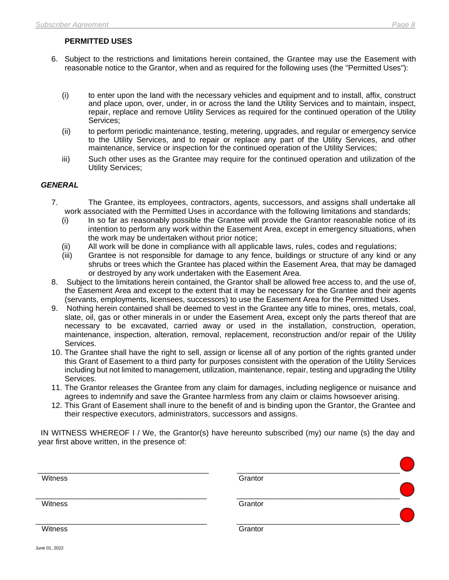# **PERMITTED USES**

- 6. Subject to the restrictions and limitations herein contained, the Grantee may use the Easement with reasonable notice to the Grantor, when and as required for the following uses (the "Permitted Uses"):
	- (i) to enter upon the land with the necessary vehicles and equipment and to install, affix, construct and place upon, over, under, in or across the land the Utility Services and to maintain, inspect, repair, replace and remove Utility Services as required for the continued operation of the Utility Services;
	- (ii) to perform periodic maintenance, testing, metering, upgrades, and regular or emergency service to the Utility Services, and to repair or replace any part of the Utility Services, and other maintenance, service or inspection for the continued operation of the Utility Services;
	- iii) Such other uses as the Grantee may require for the continued operation and utilization of the Utility Services;

# *GENERAL*

- 7. The Grantee, its employees, contractors, agents, successors, and assigns shall undertake all work associated with the Permitted Uses in accordance with the following limitations and standards;
	- (i) In so far as reasonably possible the Grantee will provide the Grantor reasonable notice of its intention to perform any work within the Easement Area, except in emergency situations, when the work may be undertaken without prior notice;
	- (ii) All work will be done in compliance with all applicable laws, rules, codes and regulations;
	- (iii) Grantee is not responsible for damage to any fence, buildings or structure of any kind or any shrubs or trees which the Grantee has placed within the Easement Area, that may be damaged or destroyed by any work undertaken with the Easement Area.
- 8. Subject to the limitations herein contained, the Grantor shall be allowed free access to, and the use of, the Easement Area and except to the extent that it may be necessary for the Grantee and their agents (servants, employments, licensees, successors) to use the Easement Area for the Permitted Uses.
- 9. Nothing herein contained shall be deemed to vest in the Grantee any title to mines, ores, metals, coal, slate, oil, gas or other minerals in or under the Easement Area, except only the parts thereof that are necessary to be excavated, carried away or used in the installation, construction, operation, maintenance, inspection, alteration, removal, replacement, reconstruction and/or repair of the Utility Services.
- 10. The Grantee shall have the right to sell, assign or license all of any portion of the rights granted under this Grant of Easement to a third party for purposes consistent with the operation of the Utility Services including but not limited to management, utilization, maintenance, repair, testing and upgrading the Utility Services.
- 11. The Grantor releases the Grantee from any claim for damages, including negligence or nuisance and agrees to indemnify and save the Grantee harmless from any claim or claims howsoever arising.
- 12. This Grant of Easement shall inure to the benefit of and is binding upon the Grantor, the Grantee and their respective executors, administrators, successors and assigns.

IN WITNESS WHEREOF I / We, the Grantor(s) have hereunto subscribed (my) our name (s) the day and year first above written, in the presence of:

| Witness | Grantor |  |
|---------|---------|--|
|         |         |  |
|         |         |  |
| Witness | Grantor |  |
|         |         |  |
| Witness | Grantor |  |
|         |         |  |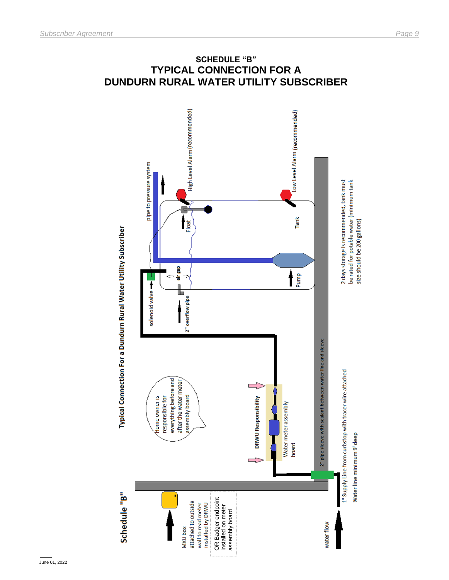

# **DUNDURN RURAL WATER UTILITY SUBSCRIBER**

June 01, 2022